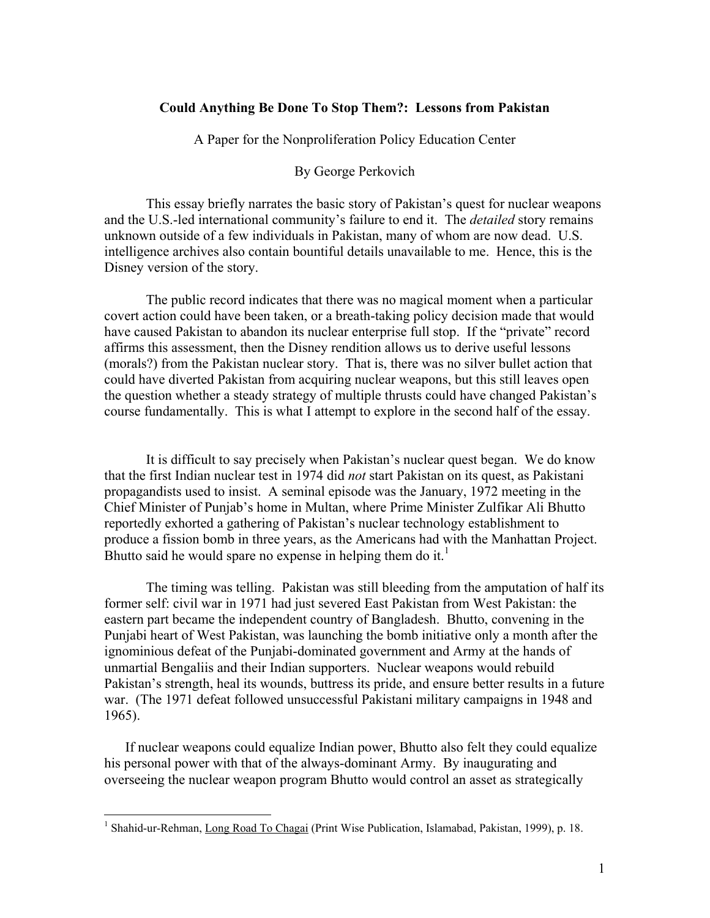## **Could Anything Be Done To Stop Them?: Lessons from Pakistan**

A Paper for the Nonproliferation Policy Education Center

## By George Perkovich

 This essay briefly narrates the basic story of Pakistan's quest for nuclear weapons and the U.S.-led international community's failure to end it. The *detailed* story remains unknown outside of a few individuals in Pakistan, many of whom are now dead. U.S. intelligence archives also contain bountiful details unavailable to me. Hence, this is the Disney version of the story.

 The public record indicates that there was no magical moment when a particular covert action could have been taken, or a breath-taking policy decision made that would have caused Pakistan to abandon its nuclear enterprise full stop. If the "private" record affirms this assessment, then the Disney rendition allows us to derive useful lessons (morals?) from the Pakistan nuclear story. That is, there was no silver bullet action that could have diverted Pakistan from acquiring nuclear weapons, but this still leaves open the question whether a steady strategy of multiple thrusts could have changed Pakistan's course fundamentally. This is what I attempt to explore in the second half of the essay.

 It is difficult to say precisely when Pakistan's nuclear quest began. We do know that the first Indian nuclear test in 1974 did *not* start Pakistan on its quest, as Pakistani propagandists used to insist. A seminal episode was the January, 1972 meeting in the Chief Minister of Punjab's home in Multan, where Prime Minister Zulfikar Ali Bhutto reportedly exhorted a gathering of Pakistan's nuclear technology establishment to produce a fission bomb in three years, as the Americans had with the Manhattan Project. Bhutto said he would spare no expense in helping them do it.<sup>1</sup>

 The timing was telling. Pakistan was still bleeding from the amputation of half its former self: civil war in 1971 had just severed East Pakistan from West Pakistan: the eastern part became the independent country of Bangladesh. Bhutto, convening in the Punjabi heart of West Pakistan, was launching the bomb initiative only a month after the ignominious defeat of the Punjabi-dominated government and Army at the hands of unmartial Bengaliis and their Indian supporters. Nuclear weapons would rebuild Pakistan's strength, heal its wounds, buttress its pride, and ensure better results in a future war. (The 1971 defeat followed unsuccessful Pakistani military campaigns in 1948 and 1965).

If nuclear weapons could equalize Indian power, Bhutto also felt they could equalize his personal power with that of the always-dominant Army. By inaugurating and overseeing the nuclear weapon program Bhutto would control an asset as strategically

 $\overline{a}$ 

<sup>&</sup>lt;sup>1</sup> Shahid-ur-Rehman, Long Road To Chagai (Print Wise Publication, Islamabad, Pakistan, 1999), p. 18.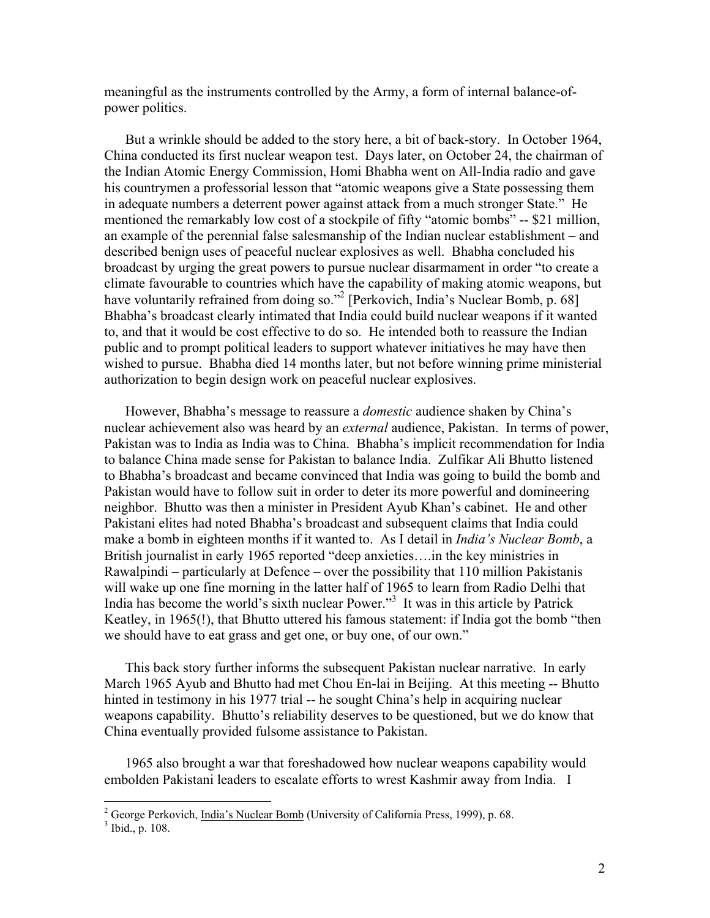meaningful as the instruments controlled by the Army, a form of internal balance-ofpower politics.

But a wrinkle should be added to the story here, a bit of back-story. In October 1964, China conducted its first nuclear weapon test. Days later, on October 24, the chairman of the Indian Atomic Energy Commission, Homi Bhabha went on All-India radio and gave his countrymen a professorial lesson that "atomic weapons give a State possessing them in adequate numbers a deterrent power against attack from a much stronger State." He mentioned the remarkably low cost of a stockpile of fifty "atomic bombs" -- \$21 million, an example of the perennial false salesmanship of the Indian nuclear establishment – and described benign uses of peaceful nuclear explosives as well. Bhabha concluded his broadcast by urging the great powers to pursue nuclear disarmament in order "to create a climate favourable to countries which have the capability of making atomic weapons, but have voluntarily refrained from doing so."<sup>2</sup> [Perkovich, India's Nuclear Bomb, p. 68] Bhabha's broadcast clearly intimated that India could build nuclear weapons if it wanted to, and that it would be cost effective to do so. He intended both to reassure the Indian public and to prompt political leaders to support whatever initiatives he may have then wished to pursue. Bhabha died 14 months later, but not before winning prime ministerial authorization to begin design work on peaceful nuclear explosives.

However, Bhabha's message to reassure a *domestic* audience shaken by China's nuclear achievement also was heard by an *external* audience, Pakistan. In terms of power, Pakistan was to India as India was to China. Bhabha's implicit recommendation for India to balance China made sense for Pakistan to balance India. Zulfikar Ali Bhutto listened to Bhabha's broadcast and became convinced that India was going to build the bomb and Pakistan would have to follow suit in order to deter its more powerful and domineering neighbor. Bhutto was then a minister in President Ayub Khan's cabinet. He and other Pakistani elites had noted Bhabha's broadcast and subsequent claims that India could make a bomb in eighteen months if it wanted to. As I detail in *India's Nuclear Bomb*, a British journalist in early 1965 reported "deep anxieties….in the key ministries in Rawalpindi – particularly at Defence – over the possibility that 110 million Pakistanis will wake up one fine morning in the latter half of 1965 to learn from Radio Delhi that India has become the world's sixth nuclear Power."<sup>3</sup> It was in this article by Patrick Keatley, in 1965(!), that Bhutto uttered his famous statement: if India got the bomb "then we should have to eat grass and get one, or buy one, of our own."

This back story further informs the subsequent Pakistan nuclear narrative. In early March 1965 Ayub and Bhutto had met Chou En-lai in Beijing. At this meeting -- Bhutto hinted in testimony in his 1977 trial -- he sought China's help in acquiring nuclear weapons capability. Bhutto's reliability deserves to be questioned, but we do know that China eventually provided fulsome assistance to Pakistan.

1965 also brought a war that foreshadowed how nuclear weapons capability would embolden Pakistani leaders to escalate efforts to wrest Kashmir away from India. I

<sup>&</sup>lt;sup>2</sup> George Perkovich, <u>India's Nuclear Bomb</u> (University of California Press, 1999), p. 68.

 $3$  Ibid., p. 108.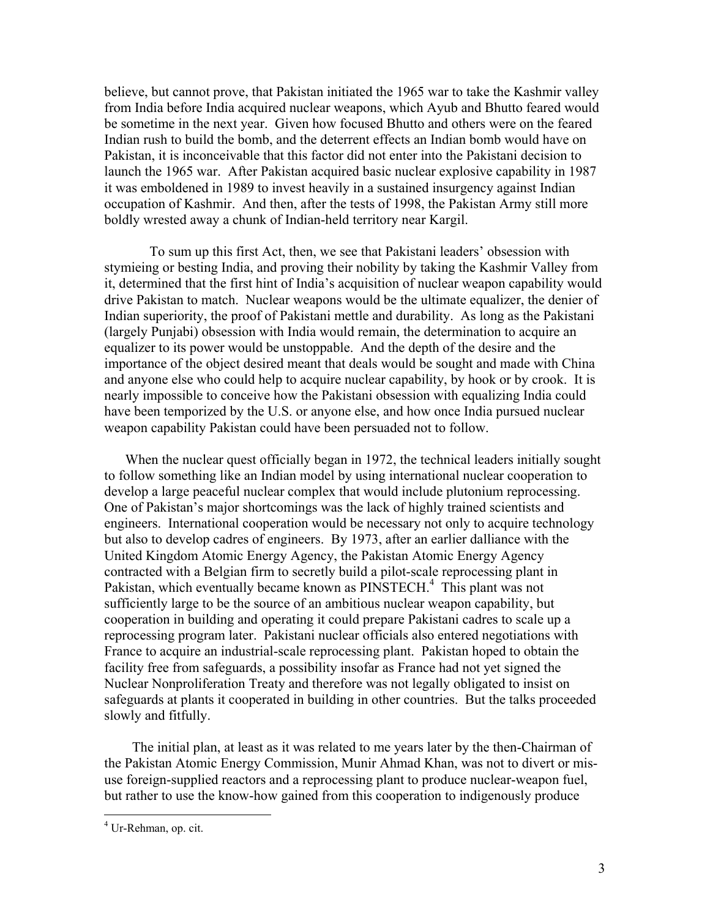believe, but cannot prove, that Pakistan initiated the 1965 war to take the Kashmir valley from India before India acquired nuclear weapons, which Ayub and Bhutto feared would be sometime in the next year. Given how focused Bhutto and others were on the feared Indian rush to build the bomb, and the deterrent effects an Indian bomb would have on Pakistan, it is inconceivable that this factor did not enter into the Pakistani decision to launch the 1965 war. After Pakistan acquired basic nuclear explosive capability in 1987 it was emboldened in 1989 to invest heavily in a sustained insurgency against Indian occupation of Kashmir. And then, after the tests of 1998, the Pakistan Army still more boldly wrested away a chunk of Indian-held territory near Kargil.

 To sum up this first Act, then, we see that Pakistani leaders' obsession with stymieing or besting India, and proving their nobility by taking the Kashmir Valley from it, determined that the first hint of India's acquisition of nuclear weapon capability would drive Pakistan to match. Nuclear weapons would be the ultimate equalizer, the denier of Indian superiority, the proof of Pakistani mettle and durability. As long as the Pakistani (largely Punjabi) obsession with India would remain, the determination to acquire an equalizer to its power would be unstoppable. And the depth of the desire and the importance of the object desired meant that deals would be sought and made with China and anyone else who could help to acquire nuclear capability, by hook or by crook. It is nearly impossible to conceive how the Pakistani obsession with equalizing India could have been temporized by the U.S. or anyone else, and how once India pursued nuclear weapon capability Pakistan could have been persuaded not to follow.

When the nuclear quest officially began in 1972, the technical leaders initially sought to follow something like an Indian model by using international nuclear cooperation to develop a large peaceful nuclear complex that would include plutonium reprocessing. One of Pakistan's major shortcomings was the lack of highly trained scientists and engineers. International cooperation would be necessary not only to acquire technology but also to develop cadres of engineers. By 1973, after an earlier dalliance with the United Kingdom Atomic Energy Agency, the Pakistan Atomic Energy Agency contracted with a Belgian firm to secretly build a pilot-scale reprocessing plant in Pakistan, which eventually became known as PINSTECH.<sup>4</sup> This plant was not sufficiently large to be the source of an ambitious nuclear weapon capability, but cooperation in building and operating it could prepare Pakistani cadres to scale up a reprocessing program later. Pakistani nuclear officials also entered negotiations with France to acquire an industrial-scale reprocessing plant. Pakistan hoped to obtain the facility free from safeguards, a possibility insofar as France had not yet signed the Nuclear Nonproliferation Treaty and therefore was not legally obligated to insist on safeguards at plants it cooperated in building in other countries. But the talks proceeded slowly and fitfully.

 The initial plan, at least as it was related to me years later by the then-Chairman of the Pakistan Atomic Energy Commission, Munir Ahmad Khan, was not to divert or misuse foreign-supplied reactors and a reprocessing plant to produce nuclear-weapon fuel, but rather to use the know-how gained from this cooperation to indigenously produce

 4 Ur-Rehman, op. cit.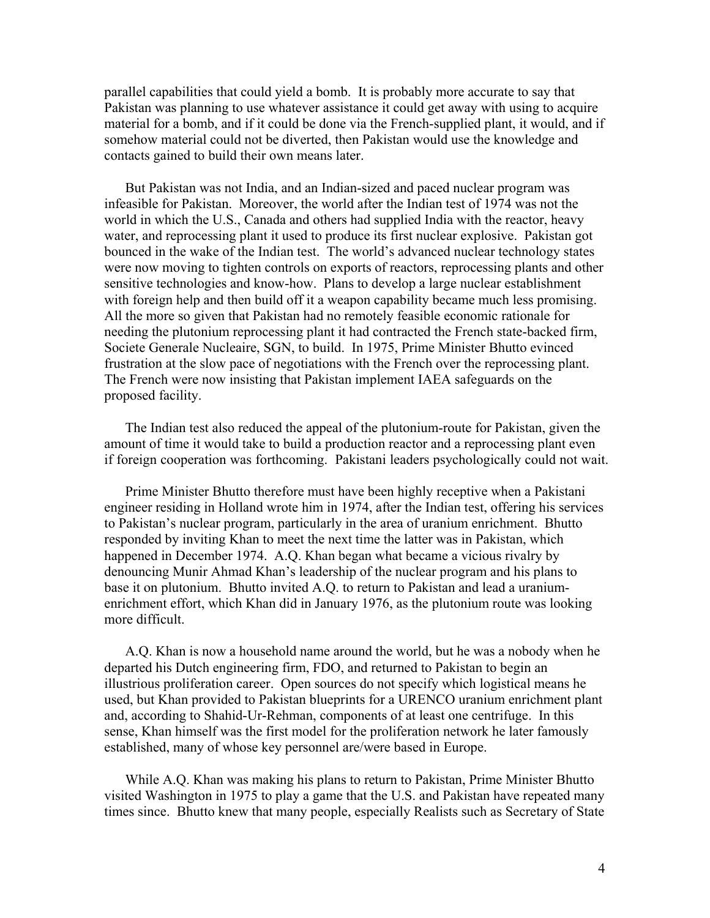parallel capabilities that could yield a bomb. It is probably more accurate to say that Pakistan was planning to use whatever assistance it could get away with using to acquire material for a bomb, and if it could be done via the French-supplied plant, it would, and if somehow material could not be diverted, then Pakistan would use the knowledge and contacts gained to build their own means later.

But Pakistan was not India, and an Indian-sized and paced nuclear program was infeasible for Pakistan. Moreover, the world after the Indian test of 1974 was not the world in which the U.S., Canada and others had supplied India with the reactor, heavy water, and reprocessing plant it used to produce its first nuclear explosive. Pakistan got bounced in the wake of the Indian test. The world's advanced nuclear technology states were now moving to tighten controls on exports of reactors, reprocessing plants and other sensitive technologies and know-how. Plans to develop a large nuclear establishment with foreign help and then build off it a weapon capability became much less promising. All the more so given that Pakistan had no remotely feasible economic rationale for needing the plutonium reprocessing plant it had contracted the French state-backed firm, Societe Generale Nucleaire, SGN, to build. In 1975, Prime Minister Bhutto evinced frustration at the slow pace of negotiations with the French over the reprocessing plant. The French were now insisting that Pakistan implement IAEA safeguards on the proposed facility.

The Indian test also reduced the appeal of the plutonium-route for Pakistan, given the amount of time it would take to build a production reactor and a reprocessing plant even if foreign cooperation was forthcoming. Pakistani leaders psychologically could not wait.

Prime Minister Bhutto therefore must have been highly receptive when a Pakistani engineer residing in Holland wrote him in 1974, after the Indian test, offering his services to Pakistan's nuclear program, particularly in the area of uranium enrichment. Bhutto responded by inviting Khan to meet the next time the latter was in Pakistan, which happened in December 1974. A.Q. Khan began what became a vicious rivalry by denouncing Munir Ahmad Khan's leadership of the nuclear program and his plans to base it on plutonium. Bhutto invited A.Q. to return to Pakistan and lead a uraniumenrichment effort, which Khan did in January 1976, as the plutonium route was looking more difficult.

A.Q. Khan is now a household name around the world, but he was a nobody when he departed his Dutch engineering firm, FDO, and returned to Pakistan to begin an illustrious proliferation career. Open sources do not specify which logistical means he used, but Khan provided to Pakistan blueprints for a URENCO uranium enrichment plant and, according to Shahid-Ur-Rehman, components of at least one centrifuge. In this sense, Khan himself was the first model for the proliferation network he later famously established, many of whose key personnel are/were based in Europe.

While A.Q. Khan was making his plans to return to Pakistan, Prime Minister Bhutto visited Washington in 1975 to play a game that the U.S. and Pakistan have repeated many times since. Bhutto knew that many people, especially Realists such as Secretary of State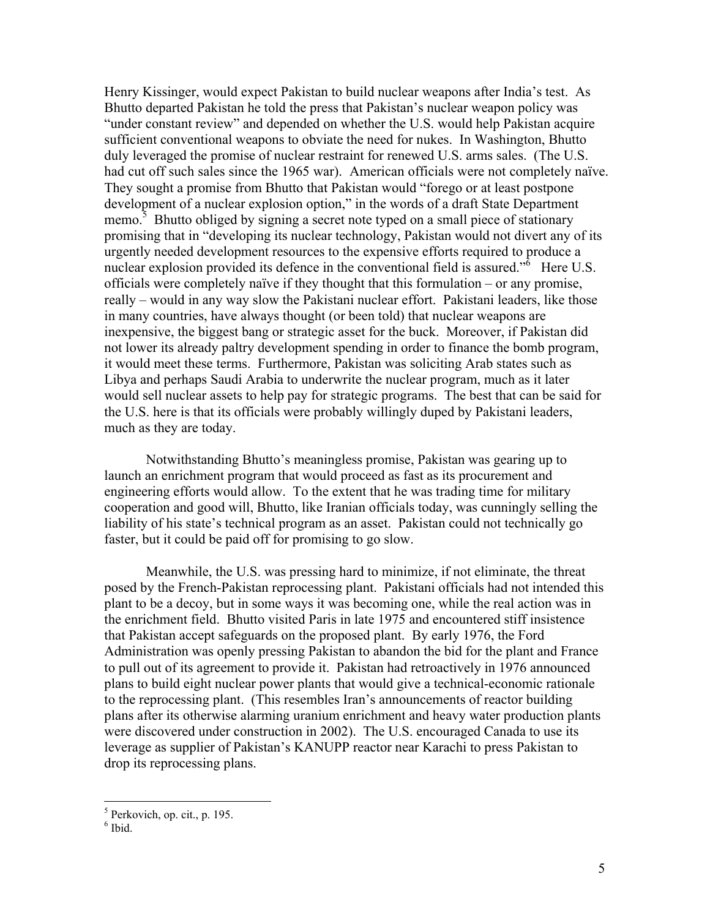Henry Kissinger, would expect Pakistan to build nuclear weapons after India's test. As Bhutto departed Pakistan he told the press that Pakistan's nuclear weapon policy was "under constant review" and depended on whether the U.S. would help Pakistan acquire sufficient conventional weapons to obviate the need for nukes. In Washington, Bhutto duly leveraged the promise of nuclear restraint for renewed U.S. arms sales. (The U.S. had cut off such sales since the 1965 war). American officials were not completely naïve. They sought a promise from Bhutto that Pakistan would "forego or at least postpone development of a nuclear explosion option," in the words of a draft State Department memo.<sup>5</sup> Bhutto obliged by signing a secret note typed on a small piece of stationary promising that in "developing its nuclear technology, Pakistan would not divert any of its urgently needed development resources to the expensive efforts required to produce a nuclear explosion provided its defence in the conventional field is assured.<sup> $n\ddot{\text{o}}$ </sup> Here U.S. officials were completely naïve if they thought that this formulation – or any promise, really – would in any way slow the Pakistani nuclear effort. Pakistani leaders, like those in many countries, have always thought (or been told) that nuclear weapons are inexpensive, the biggest bang or strategic asset for the buck. Moreover, if Pakistan did not lower its already paltry development spending in order to finance the bomb program, it would meet these terms. Furthermore, Pakistan was soliciting Arab states such as Libya and perhaps Saudi Arabia to underwrite the nuclear program, much as it later would sell nuclear assets to help pay for strategic programs. The best that can be said for the U.S. here is that its officials were probably willingly duped by Pakistani leaders, much as they are today.

 Notwithstanding Bhutto's meaningless promise, Pakistan was gearing up to launch an enrichment program that would proceed as fast as its procurement and engineering efforts would allow. To the extent that he was trading time for military cooperation and good will, Bhutto, like Iranian officials today, was cunningly selling the liability of his state's technical program as an asset. Pakistan could not technically go faster, but it could be paid off for promising to go slow.

 Meanwhile, the U.S. was pressing hard to minimize, if not eliminate, the threat posed by the French-Pakistan reprocessing plant. Pakistani officials had not intended this plant to be a decoy, but in some ways it was becoming one, while the real action was in the enrichment field. Bhutto visited Paris in late 1975 and encountered stiff insistence that Pakistan accept safeguards on the proposed plant. By early 1976, the Ford Administration was openly pressing Pakistan to abandon the bid for the plant and France to pull out of its agreement to provide it. Pakistan had retroactively in 1976 announced plans to build eight nuclear power plants that would give a technical-economic rationale to the reprocessing plant. (This resembles Iran's announcements of reactor building plans after its otherwise alarming uranium enrichment and heavy water production plants were discovered under construction in 2002). The U.S. encouraged Canada to use its leverage as supplier of Pakistan's KANUPP reactor near Karachi to press Pakistan to drop its reprocessing plans.

 $\overline{a}$ 

<sup>5</sup> Perkovich, op. cit., p. 195.

 $<sup>6</sup>$  Ibid.</sup>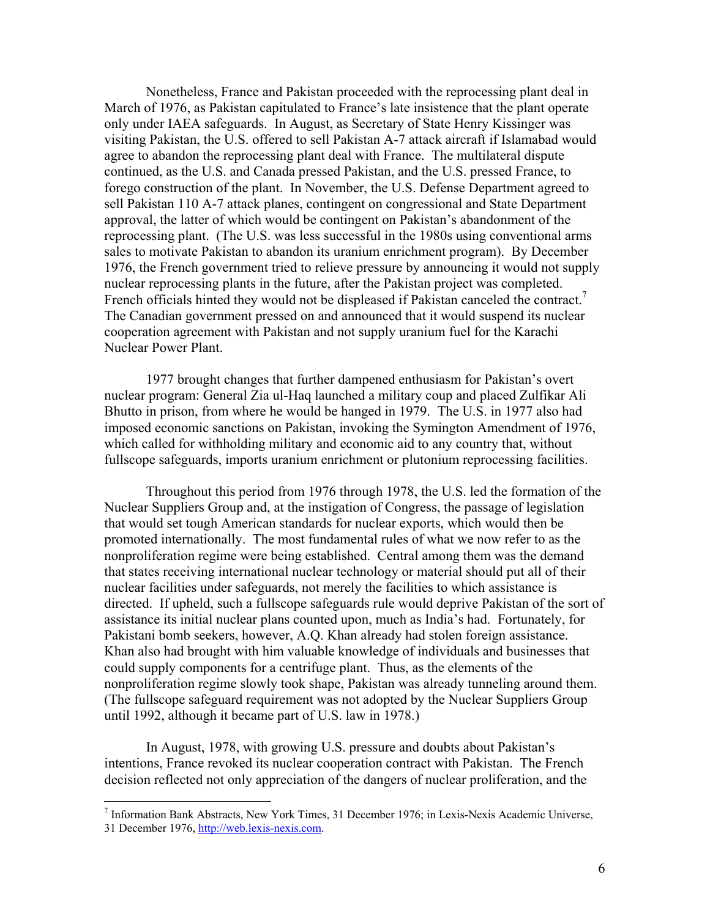Nonetheless, France and Pakistan proceeded with the reprocessing plant deal in March of 1976, as Pakistan capitulated to France's late insistence that the plant operate only under IAEA safeguards. In August, as Secretary of State Henry Kissinger was visiting Pakistan, the U.S. offered to sell Pakistan A-7 attack aircraft if Islamabad would agree to abandon the reprocessing plant deal with France. The multilateral dispute continued, as the U.S. and Canada pressed Pakistan, and the U.S. pressed France, to forego construction of the plant. In November, the U.S. Defense Department agreed to sell Pakistan 110 A-7 attack planes, contingent on congressional and State Department approval, the latter of which would be contingent on Pakistan's abandonment of the reprocessing plant. (The U.S. was less successful in the 1980s using conventional arms sales to motivate Pakistan to abandon its uranium enrichment program). By December 1976, the French government tried to relieve pressure by announcing it would not supply nuclear reprocessing plants in the future, after the Pakistan project was completed. French officials hinted they would not be displeased if Pakistan canceled the contract.<sup>7</sup> The Canadian government pressed on and announced that it would suspend its nuclear cooperation agreement with Pakistan and not supply uranium fuel for the Karachi Nuclear Power Plant.

1977 brought changes that further dampened enthusiasm for Pakistan's overt nuclear program: General Zia ul-Haq launched a military coup and placed Zulfikar Ali Bhutto in prison, from where he would be hanged in 1979. The U.S. in 1977 also had imposed economic sanctions on Pakistan, invoking the Symington Amendment of 1976, which called for withholding military and economic aid to any country that, without fullscope safeguards, imports uranium enrichment or plutonium reprocessing facilities.

 Throughout this period from 1976 through 1978, the U.S. led the formation of the Nuclear Suppliers Group and, at the instigation of Congress, the passage of legislation that would set tough American standards for nuclear exports, which would then be promoted internationally. The most fundamental rules of what we now refer to as the nonproliferation regime were being established. Central among them was the demand that states receiving international nuclear technology or material should put all of their nuclear facilities under safeguards, not merely the facilities to which assistance is directed. If upheld, such a fullscope safeguards rule would deprive Pakistan of the sort of assistance its initial nuclear plans counted upon, much as India's had. Fortunately, for Pakistani bomb seekers, however, A.Q. Khan already had stolen foreign assistance. Khan also had brought with him valuable knowledge of individuals and businesses that could supply components for a centrifuge plant. Thus, as the elements of the nonproliferation regime slowly took shape, Pakistan was already tunneling around them. (The fullscope safeguard requirement was not adopted by the Nuclear Suppliers Group until 1992, although it became part of U.S. law in 1978.)

 In August, 1978, with growing U.S. pressure and doubts about Pakistan's intentions, France revoked its nuclear cooperation contract with Pakistan. The French decision reflected not only appreciation of the dangers of nuclear proliferation, and the

1

<sup>&</sup>lt;sup>7</sup> Information Bank Abstracts, New York Times, 31 December 1976; in Lexis-Nexis Academic Universe, 31 December 1976, http://web.lexis-nexis.com.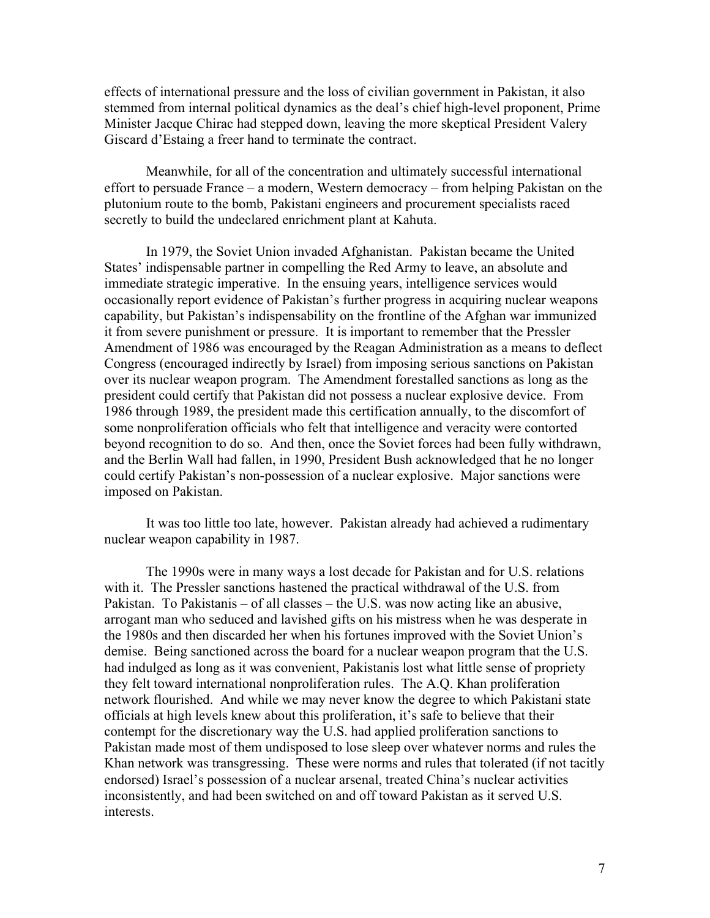effects of international pressure and the loss of civilian government in Pakistan, it also stemmed from internal political dynamics as the deal's chief high-level proponent, Prime Minister Jacque Chirac had stepped down, leaving the more skeptical President Valery Giscard d'Estaing a freer hand to terminate the contract.

Meanwhile, for all of the concentration and ultimately successful international effort to persuade France – a modern, Western democracy – from helping Pakistan on the plutonium route to the bomb, Pakistani engineers and procurement specialists raced secretly to build the undeclared enrichment plant at Kahuta.

 In 1979, the Soviet Union invaded Afghanistan. Pakistan became the United States' indispensable partner in compelling the Red Army to leave, an absolute and immediate strategic imperative. In the ensuing years, intelligence services would occasionally report evidence of Pakistan's further progress in acquiring nuclear weapons capability, but Pakistan's indispensability on the frontline of the Afghan war immunized it from severe punishment or pressure. It is important to remember that the Pressler Amendment of 1986 was encouraged by the Reagan Administration as a means to deflect Congress (encouraged indirectly by Israel) from imposing serious sanctions on Pakistan over its nuclear weapon program. The Amendment forestalled sanctions as long as the president could certify that Pakistan did not possess a nuclear explosive device. From 1986 through 1989, the president made this certification annually, to the discomfort of some nonproliferation officials who felt that intelligence and veracity were contorted beyond recognition to do so. And then, once the Soviet forces had been fully withdrawn, and the Berlin Wall had fallen, in 1990, President Bush acknowledged that he no longer could certify Pakistan's non-possession of a nuclear explosive. Major sanctions were imposed on Pakistan.

 It was too little too late, however. Pakistan already had achieved a rudimentary nuclear weapon capability in 1987.

 The 1990s were in many ways a lost decade for Pakistan and for U.S. relations with it. The Pressler sanctions hastened the practical withdrawal of the U.S. from Pakistan. To Pakistanis – of all classes – the U.S. was now acting like an abusive, arrogant man who seduced and lavished gifts on his mistress when he was desperate in the 1980s and then discarded her when his fortunes improved with the Soviet Union's demise. Being sanctioned across the board for a nuclear weapon program that the U.S. had indulged as long as it was convenient, Pakistanis lost what little sense of propriety they felt toward international nonproliferation rules. The A.Q. Khan proliferation network flourished. And while we may never know the degree to which Pakistani state officials at high levels knew about this proliferation, it's safe to believe that their contempt for the discretionary way the U.S. had applied proliferation sanctions to Pakistan made most of them undisposed to lose sleep over whatever norms and rules the Khan network was transgressing. These were norms and rules that tolerated (if not tacitly endorsed) Israel's possession of a nuclear arsenal, treated China's nuclear activities inconsistently, and had been switched on and off toward Pakistan as it served U.S. interests.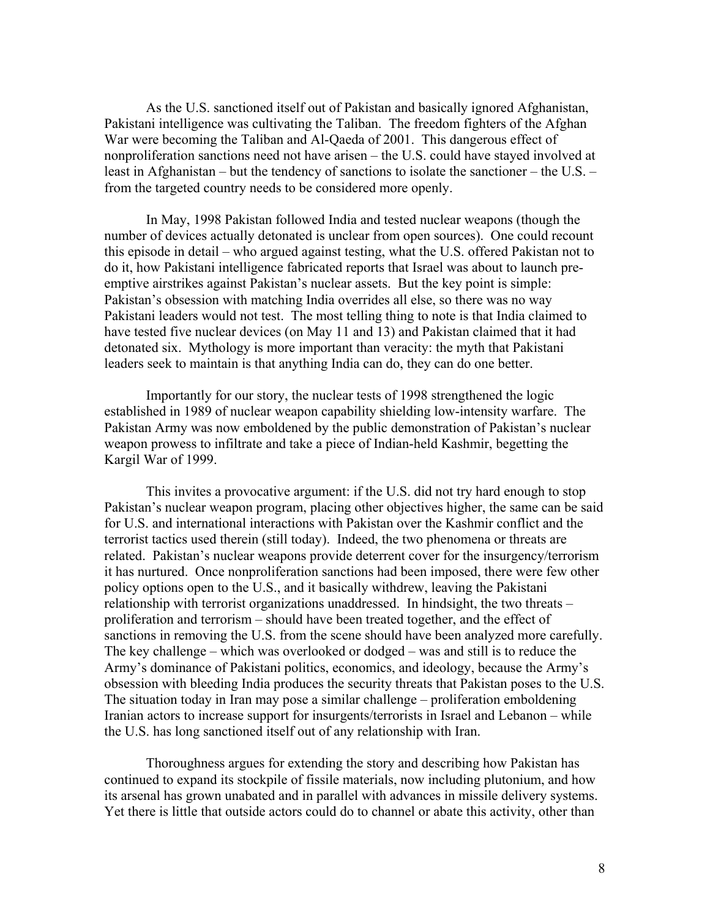As the U.S. sanctioned itself out of Pakistan and basically ignored Afghanistan, Pakistani intelligence was cultivating the Taliban. The freedom fighters of the Afghan War were becoming the Taliban and Al-Qaeda of 2001. This dangerous effect of nonproliferation sanctions need not have arisen – the U.S. could have stayed involved at least in Afghanistan – but the tendency of sanctions to isolate the sanctioner – the U.S. – from the targeted country needs to be considered more openly.

 In May, 1998 Pakistan followed India and tested nuclear weapons (though the number of devices actually detonated is unclear from open sources). One could recount this episode in detail – who argued against testing, what the U.S. offered Pakistan not to do it, how Pakistani intelligence fabricated reports that Israel was about to launch preemptive airstrikes against Pakistan's nuclear assets. But the key point is simple: Pakistan's obsession with matching India overrides all else, so there was no way Pakistani leaders would not test. The most telling thing to note is that India claimed to have tested five nuclear devices (on May 11 and 13) and Pakistan claimed that it had detonated six. Mythology is more important than veracity: the myth that Pakistani leaders seek to maintain is that anything India can do, they can do one better.

 Importantly for our story, the nuclear tests of 1998 strengthened the logic established in 1989 of nuclear weapon capability shielding low-intensity warfare. The Pakistan Army was now emboldened by the public demonstration of Pakistan's nuclear weapon prowess to infiltrate and take a piece of Indian-held Kashmir, begetting the Kargil War of 1999.

This invites a provocative argument: if the U.S. did not try hard enough to stop Pakistan's nuclear weapon program, placing other objectives higher, the same can be said for U.S. and international interactions with Pakistan over the Kashmir conflict and the terrorist tactics used therein (still today). Indeed, the two phenomena or threats are related. Pakistan's nuclear weapons provide deterrent cover for the insurgency/terrorism it has nurtured. Once nonproliferation sanctions had been imposed, there were few other policy options open to the U.S., and it basically withdrew, leaving the Pakistani relationship with terrorist organizations unaddressed. In hindsight, the two threats – proliferation and terrorism – should have been treated together, and the effect of sanctions in removing the U.S. from the scene should have been analyzed more carefully. The key challenge – which was overlooked or dodged – was and still is to reduce the Army's dominance of Pakistani politics, economics, and ideology, because the Army's obsession with bleeding India produces the security threats that Pakistan poses to the U.S. The situation today in Iran may pose a similar challenge – proliferation emboldening Iranian actors to increase support for insurgents/terrorists in Israel and Lebanon – while the U.S. has long sanctioned itself out of any relationship with Iran.

 Thoroughness argues for extending the story and describing how Pakistan has continued to expand its stockpile of fissile materials, now including plutonium, and how its arsenal has grown unabated and in parallel with advances in missile delivery systems. Yet there is little that outside actors could do to channel or abate this activity, other than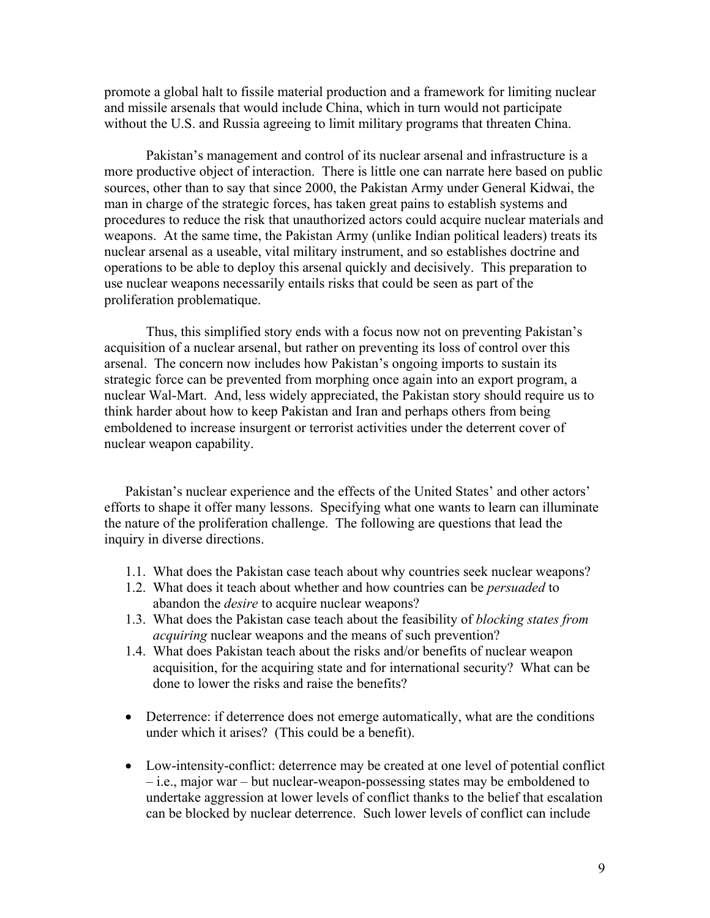promote a global halt to fissile material production and a framework for limiting nuclear and missile arsenals that would include China, which in turn would not participate without the U.S. and Russia agreeing to limit military programs that threaten China.

 Pakistan's management and control of its nuclear arsenal and infrastructure is a more productive object of interaction. There is little one can narrate here based on public sources, other than to say that since 2000, the Pakistan Army under General Kidwai, the man in charge of the strategic forces, has taken great pains to establish systems and procedures to reduce the risk that unauthorized actors could acquire nuclear materials and weapons. At the same time, the Pakistan Army (unlike Indian political leaders) treats its nuclear arsenal as a useable, vital military instrument, and so establishes doctrine and operations to be able to deploy this arsenal quickly and decisively. This preparation to use nuclear weapons necessarily entails risks that could be seen as part of the proliferation problematique.

 Thus, this simplified story ends with a focus now not on preventing Pakistan's acquisition of a nuclear arsenal, but rather on preventing its loss of control over this arsenal. The concern now includes how Pakistan's ongoing imports to sustain its strategic force can be prevented from morphing once again into an export program, a nuclear Wal-Mart. And, less widely appreciated, the Pakistan story should require us to think harder about how to keep Pakistan and Iran and perhaps others from being emboldened to increase insurgent or terrorist activities under the deterrent cover of nuclear weapon capability.

Pakistan's nuclear experience and the effects of the United States' and other actors' efforts to shape it offer many lessons. Specifying what one wants to learn can illuminate the nature of the proliferation challenge. The following are questions that lead the inquiry in diverse directions.

- 1.1. What does the Pakistan case teach about why countries seek nuclear weapons?
- 1.2. What does it teach about whether and how countries can be *persuaded* to abandon the *desire* to acquire nuclear weapons?
- 1.3. What does the Pakistan case teach about the feasibility of *blocking states from acquiring* nuclear weapons and the means of such prevention?
- 1.4. What does Pakistan teach about the risks and/or benefits of nuclear weapon acquisition, for the acquiring state and for international security? What can be done to lower the risks and raise the benefits?
- Deterrence: if deterrence does not emerge automatically, what are the conditions under which it arises? (This could be a benefit).
- Low-intensity-conflict: deterrence may be created at one level of potential conflict – i.e., major war – but nuclear-weapon-possessing states may be emboldened to undertake aggression at lower levels of conflict thanks to the belief that escalation can be blocked by nuclear deterrence. Such lower levels of conflict can include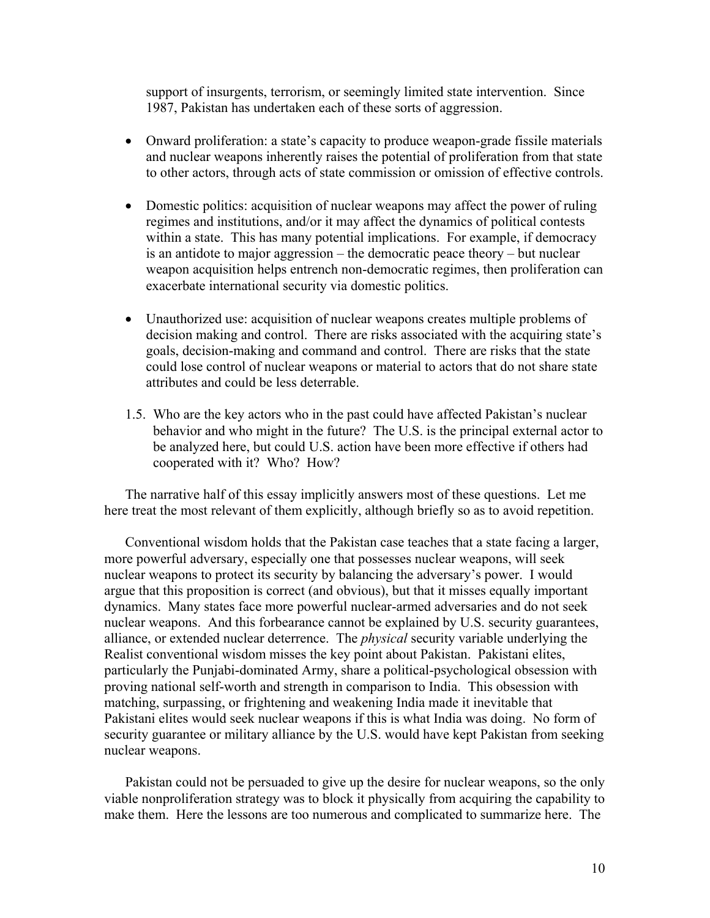support of insurgents, terrorism, or seemingly limited state intervention. Since 1987, Pakistan has undertaken each of these sorts of aggression.

- Onward proliferation: a state's capacity to produce weapon-grade fissile materials and nuclear weapons inherently raises the potential of proliferation from that state to other actors, through acts of state commission or omission of effective controls.
- Domestic politics: acquisition of nuclear weapons may affect the power of ruling regimes and institutions, and/or it may affect the dynamics of political contests within a state. This has many potential implications. For example, if democracy is an antidote to major aggression – the democratic peace theory – but nuclear weapon acquisition helps entrench non-democratic regimes, then proliferation can exacerbate international security via domestic politics.
- Unauthorized use: acquisition of nuclear weapons creates multiple problems of decision making and control. There are risks associated with the acquiring state's goals, decision-making and command and control. There are risks that the state could lose control of nuclear weapons or material to actors that do not share state attributes and could be less deterrable.
- 1.5. Who are the key actors who in the past could have affected Pakistan's nuclear behavior and who might in the future? The U.S. is the principal external actor to be analyzed here, but could U.S. action have been more effective if others had cooperated with it? Who? How?

The narrative half of this essay implicitly answers most of these questions. Let me here treat the most relevant of them explicitly, although briefly so as to avoid repetition.

Conventional wisdom holds that the Pakistan case teaches that a state facing a larger, more powerful adversary, especially one that possesses nuclear weapons, will seek nuclear weapons to protect its security by balancing the adversary's power. I would argue that this proposition is correct (and obvious), but that it misses equally important dynamics. Many states face more powerful nuclear-armed adversaries and do not seek nuclear weapons. And this forbearance cannot be explained by U.S. security guarantees, alliance, or extended nuclear deterrence. The *physical* security variable underlying the Realist conventional wisdom misses the key point about Pakistan. Pakistani elites, particularly the Punjabi-dominated Army, share a political-psychological obsession with proving national self-worth and strength in comparison to India. This obsession with matching, surpassing, or frightening and weakening India made it inevitable that Pakistani elites would seek nuclear weapons if this is what India was doing. No form of security guarantee or military alliance by the U.S. would have kept Pakistan from seeking nuclear weapons.

Pakistan could not be persuaded to give up the desire for nuclear weapons, so the only viable nonproliferation strategy was to block it physically from acquiring the capability to make them. Here the lessons are too numerous and complicated to summarize here. The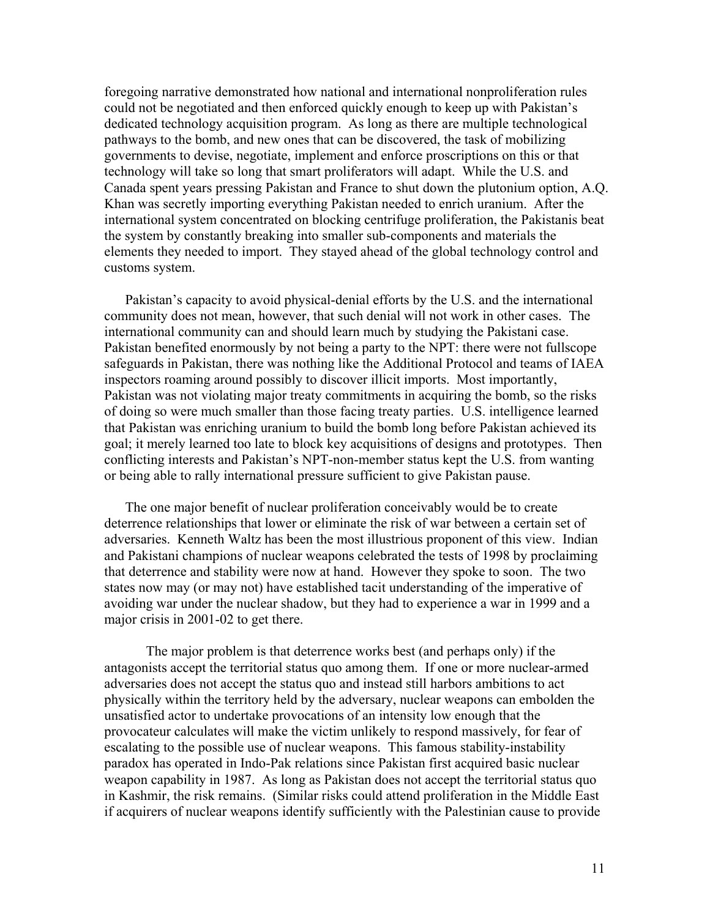foregoing narrative demonstrated how national and international nonproliferation rules could not be negotiated and then enforced quickly enough to keep up with Pakistan's dedicated technology acquisition program. As long as there are multiple technological pathways to the bomb, and new ones that can be discovered, the task of mobilizing governments to devise, negotiate, implement and enforce proscriptions on this or that technology will take so long that smart proliferators will adapt. While the U.S. and Canada spent years pressing Pakistan and France to shut down the plutonium option, A.Q. Khan was secretly importing everything Pakistan needed to enrich uranium. After the international system concentrated on blocking centrifuge proliferation, the Pakistanis beat the system by constantly breaking into smaller sub-components and materials the elements they needed to import. They stayed ahead of the global technology control and customs system.

Pakistan's capacity to avoid physical-denial efforts by the U.S. and the international community does not mean, however, that such denial will not work in other cases. The international community can and should learn much by studying the Pakistani case. Pakistan benefited enormously by not being a party to the NPT: there were not fullscope safeguards in Pakistan, there was nothing like the Additional Protocol and teams of IAEA inspectors roaming around possibly to discover illicit imports. Most importantly, Pakistan was not violating major treaty commitments in acquiring the bomb, so the risks of doing so were much smaller than those facing treaty parties. U.S. intelligence learned that Pakistan was enriching uranium to build the bomb long before Pakistan achieved its goal; it merely learned too late to block key acquisitions of designs and prototypes. Then conflicting interests and Pakistan's NPT-non-member status kept the U.S. from wanting or being able to rally international pressure sufficient to give Pakistan pause.

The one major benefit of nuclear proliferation conceivably would be to create deterrence relationships that lower or eliminate the risk of war between a certain set of adversaries. Kenneth Waltz has been the most illustrious proponent of this view. Indian and Pakistani champions of nuclear weapons celebrated the tests of 1998 by proclaiming that deterrence and stability were now at hand. However they spoke to soon. The two states now may (or may not) have established tacit understanding of the imperative of avoiding war under the nuclear shadow, but they had to experience a war in 1999 and a major crisis in 2001-02 to get there.

 The major problem is that deterrence works best (and perhaps only) if the antagonists accept the territorial status quo among them. If one or more nuclear-armed adversaries does not accept the status quo and instead still harbors ambitions to act physically within the territory held by the adversary, nuclear weapons can embolden the unsatisfied actor to undertake provocations of an intensity low enough that the provocateur calculates will make the victim unlikely to respond massively, for fear of escalating to the possible use of nuclear weapons. This famous stability-instability paradox has operated in Indo-Pak relations since Pakistan first acquired basic nuclear weapon capability in 1987. As long as Pakistan does not accept the territorial status quo in Kashmir, the risk remains. (Similar risks could attend proliferation in the Middle East if acquirers of nuclear weapons identify sufficiently with the Palestinian cause to provide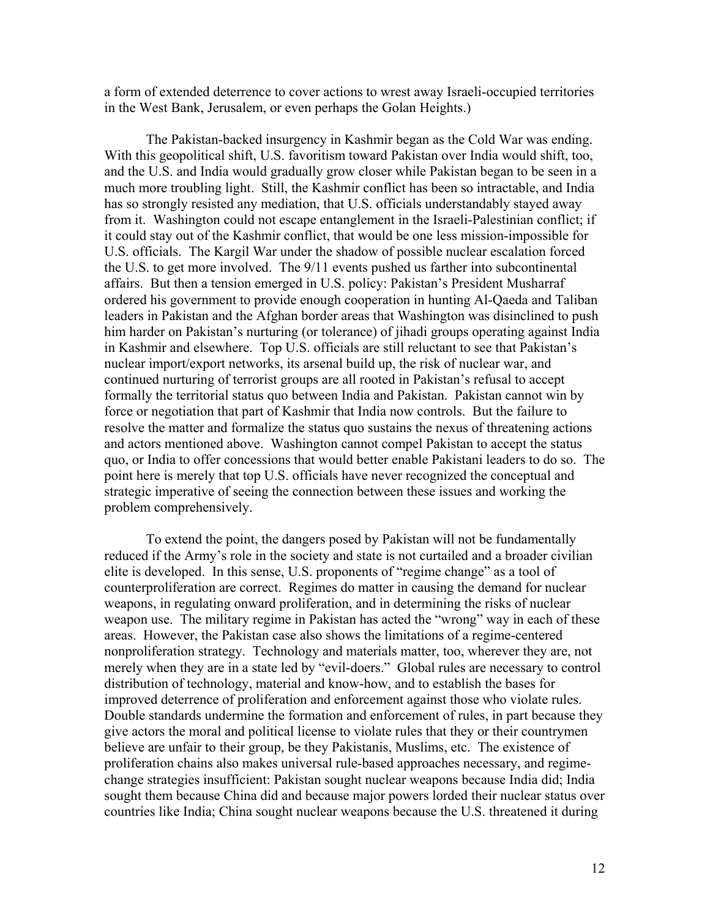a form of extended deterrence to cover actions to wrest away Israeli-occupied territories in the West Bank, Jerusalem, or even perhaps the Golan Heights.)

 The Pakistan-backed insurgency in Kashmir began as the Cold War was ending. With this geopolitical shift, U.S. favoritism toward Pakistan over India would shift, too, and the U.S. and India would gradually grow closer while Pakistan began to be seen in a much more troubling light. Still, the Kashmir conflict has been so intractable, and India has so strongly resisted any mediation, that U.S. officials understandably stayed away from it. Washington could not escape entanglement in the Israeli-Palestinian conflict; if it could stay out of the Kashmir conflict, that would be one less mission-impossible for U.S. officials. The Kargil War under the shadow of possible nuclear escalation forced the U.S. to get more involved. The 9/11 events pushed us farther into subcontinental affairs. But then a tension emerged in U.S. policy: Pakistan's President Musharraf ordered his government to provide enough cooperation in hunting Al-Qaeda and Taliban leaders in Pakistan and the Afghan border areas that Washington was disinclined to push him harder on Pakistan's nurturing (or tolerance) of jihadi groups operating against India in Kashmir and elsewhere. Top U.S. officials are still reluctant to see that Pakistan's nuclear import/export networks, its arsenal build up, the risk of nuclear war, and continued nurturing of terrorist groups are all rooted in Pakistan's refusal to accept formally the territorial status quo between India and Pakistan. Pakistan cannot win by force or negotiation that part of Kashmir that India now controls. But the failure to resolve the matter and formalize the status quo sustains the nexus of threatening actions and actors mentioned above. Washington cannot compel Pakistan to accept the status quo, or India to offer concessions that would better enable Pakistani leaders to do so. The point here is merely that top U.S. officials have never recognized the conceptual and strategic imperative of seeing the connection between these issues and working the problem comprehensively.

 To extend the point, the dangers posed by Pakistan will not be fundamentally reduced if the Army's role in the society and state is not curtailed and a broader civilian elite is developed. In this sense, U.S. proponents of "regime change" as a tool of counterproliferation are correct. Regimes do matter in causing the demand for nuclear weapons, in regulating onward proliferation, and in determining the risks of nuclear weapon use. The military regime in Pakistan has acted the "wrong" way in each of these areas. However, the Pakistan case also shows the limitations of a regime-centered nonproliferation strategy. Technology and materials matter, too, wherever they are, not merely when they are in a state led by "evil-doers." Global rules are necessary to control distribution of technology, material and know-how, and to establish the bases for improved deterrence of proliferation and enforcement against those who violate rules. Double standards undermine the formation and enforcement of rules, in part because they give actors the moral and political license to violate rules that they or their countrymen believe are unfair to their group, be they Pakistanis, Muslims, etc. The existence of proliferation chains also makes universal rule-based approaches necessary, and regimechange strategies insufficient: Pakistan sought nuclear weapons because India did; India sought them because China did and because major powers lorded their nuclear status over countries like India; China sought nuclear weapons because the U.S. threatened it during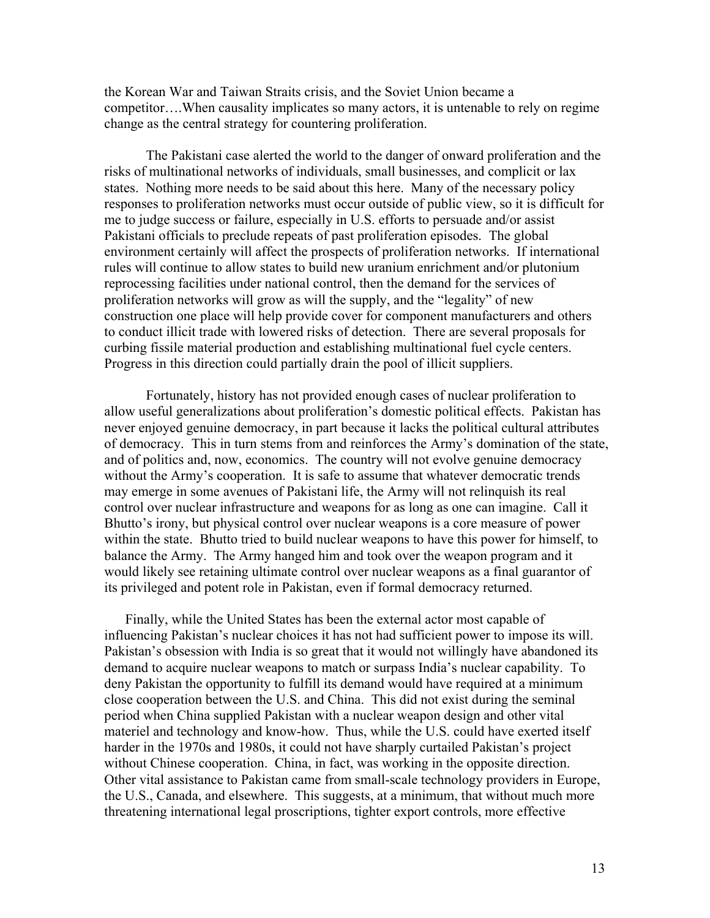the Korean War and Taiwan Straits crisis, and the Soviet Union became a competitor….When causality implicates so many actors, it is untenable to rely on regime change as the central strategy for countering proliferation.

 The Pakistani case alerted the world to the danger of onward proliferation and the risks of multinational networks of individuals, small businesses, and complicit or lax states. Nothing more needs to be said about this here. Many of the necessary policy responses to proliferation networks must occur outside of public view, so it is difficult for me to judge success or failure, especially in U.S. efforts to persuade and/or assist Pakistani officials to preclude repeats of past proliferation episodes. The global environment certainly will affect the prospects of proliferation networks. If international rules will continue to allow states to build new uranium enrichment and/or plutonium reprocessing facilities under national control, then the demand for the services of proliferation networks will grow as will the supply, and the "legality" of new construction one place will help provide cover for component manufacturers and others to conduct illicit trade with lowered risks of detection. There are several proposals for curbing fissile material production and establishing multinational fuel cycle centers. Progress in this direction could partially drain the pool of illicit suppliers.

 Fortunately, history has not provided enough cases of nuclear proliferation to allow useful generalizations about proliferation's domestic political effects. Pakistan has never enjoyed genuine democracy, in part because it lacks the political cultural attributes of democracy. This in turn stems from and reinforces the Army's domination of the state, and of politics and, now, economics. The country will not evolve genuine democracy without the Army's cooperation. It is safe to assume that whatever democratic trends may emerge in some avenues of Pakistani life, the Army will not relinquish its real control over nuclear infrastructure and weapons for as long as one can imagine. Call it Bhutto's irony, but physical control over nuclear weapons is a core measure of power within the state. Bhutto tried to build nuclear weapons to have this power for himself, to balance the Army. The Army hanged him and took over the weapon program and it would likely see retaining ultimate control over nuclear weapons as a final guarantor of its privileged and potent role in Pakistan, even if formal democracy returned.

Finally, while the United States has been the external actor most capable of influencing Pakistan's nuclear choices it has not had sufficient power to impose its will. Pakistan's obsession with India is so great that it would not willingly have abandoned its demand to acquire nuclear weapons to match or surpass India's nuclear capability. To deny Pakistan the opportunity to fulfill its demand would have required at a minimum close cooperation between the U.S. and China. This did not exist during the seminal period when China supplied Pakistan with a nuclear weapon design and other vital materiel and technology and know-how. Thus, while the U.S. could have exerted itself harder in the 1970s and 1980s, it could not have sharply curtailed Pakistan's project without Chinese cooperation. China, in fact, was working in the opposite direction. Other vital assistance to Pakistan came from small-scale technology providers in Europe, the U.S., Canada, and elsewhere. This suggests, at a minimum, that without much more threatening international legal proscriptions, tighter export controls, more effective